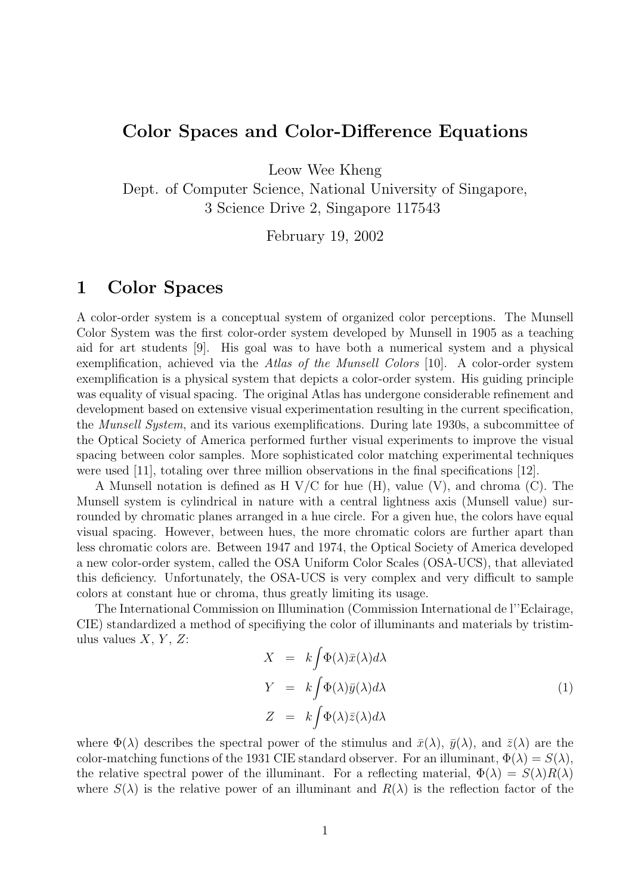#### Color Spaces and Color-Difference Equations

Leow Wee Kheng

Dept. of Computer Science, National University of Singapore, 3 Science Drive 2, Singapore 117543

February 19, 2002

#### 1 Color Spaces

A color-order system is a conceptual system of organized color perceptions. The Munsell Color System was the first color-order system developed by Munsell in 1905 as a teaching aid for art students [9]. His goal was to have both a numerical system and a physical exemplification, achieved via the Atlas of the Munsell Colors [10]. A color-order system exemplification is a physical system that depicts a color-order system. His guiding principle was equality of visual spacing. The original Atlas has undergone considerable refinement and development based on extensive visual experimentation resulting in the current specification, the Munsell System, and its various exemplifications. During late 1930s, a subcommittee of the Optical Society of America performed further visual experiments to improve the visual spacing between color samples. More sophisticated color matching experimental techniques were used [11], totaling over three million observations in the final specifications [12].

A Munsell notation is defined as H  $V/C$  for hue (H), value (V), and chroma (C). The Munsell system is cylindrical in nature with a central lightness axis (Munsell value) surrounded by chromatic planes arranged in a hue circle. For a given hue, the colors have equal visual spacing. However, between hues, the more chromatic colors are further apart than less chromatic colors are. Between 1947 and 1974, the Optical Society of America developed a new color-order system, called the OSA Uniform Color Scales (OSA-UCS), that alleviated this deficiency. Unfortunately, the OSA-UCS is very complex and very difficult to sample colors at constant hue or chroma, thus greatly limiting its usage.

The International Commission on Illumination (Commission International de l''Eclairage, CIE) standardized a method of specifiying the color of illuminants and materials by tristimulus values  $X, Y, Z$ :

$$
X = k \int \Phi(\lambda) \bar{x}(\lambda) d\lambda
$$
  
\n
$$
Y = k \int \Phi(\lambda) \bar{y}(\lambda) d\lambda
$$
  
\n
$$
Z = k \int \Phi(\lambda) \bar{z}(\lambda) d\lambda
$$
\n(1)

where  $\Phi(\lambda)$  describes the spectral power of the stimulus and  $\bar{x}(\lambda)$ ,  $\bar{y}(\lambda)$ , and  $\bar{z}(\lambda)$  are the color-matching functions of the 1931 CIE standard observer. For an illuminant,  $\Phi(\lambda) = S(\lambda)$ , the relative spectral power of the illuminant. For a reflecting material,  $\Phi(\lambda) = S(\lambda)R(\lambda)$ where  $S(\lambda)$  is the relative power of an illuminant and  $R(\lambda)$  is the reflection factor of the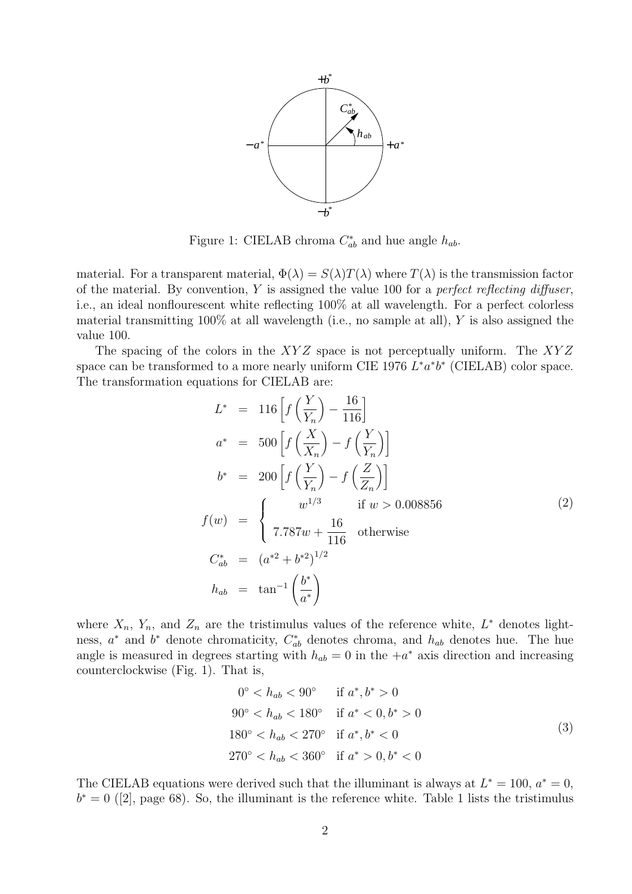

Figure 1: CIELAB chroma  $C_{ab}^*$  and hue angle  $h_{ab}$ .

material. For a transparent material,  $\Phi(\lambda) = S(\lambda)T(\lambda)$  where  $T(\lambda)$  is the transmission factor of the material. By convention,  $Y$  is assigned the value 100 for a *perfect reflecting diffuser*, i.e., an ideal nonflourescent white reflecting 100% at all wavelength. For a perfect colorless material transmitting  $100\%$  at all wavelength (i.e., no sample at all), Y is also assigned the value 100.

The spacing of the colors in the  $XYZ$  space is not perceptually uniform. The  $XYZ$ space can be transformed to a more nearly uniform CIE 1976  $L^*a^*b^*$  (CIELAB) color space. The transformation equations for CIELAB are:

$$
L^* = 116 \left[ f\left(\frac{Y}{Y_n}\right) - \frac{16}{116} \right]
$$
  
\n
$$
a^* = 500 \left[ f\left(\frac{X}{X_n}\right) - f\left(\frac{Y}{Y_n}\right) \right]
$$
  
\n
$$
b^* = 200 \left[ f\left(\frac{Y}{Y_n}\right) - f\left(\frac{Z}{Z_n}\right) \right]
$$
  
\n
$$
f(w) = \begin{cases} w^{1/3} & \text{if } w > 0.008856\\ 7.787w + \frac{16}{116} & \text{otherwise} \end{cases}
$$
  
\n
$$
C_{ab}^* = (a^{*2} + b^{*2})^{1/2}
$$
  
\n
$$
h_{ab} = \tan^{-1}\left(\frac{b^*}{a^*}\right)
$$
  
\n(2)

where  $X_n$ ,  $Y_n$ , and  $Z_n$  are the tristimulus values of the reference white,  $L^*$  denotes lightness,  $a^*$  and  $b^*$  denote chromaticity,  $C_{ab}^*$  denotes chroma, and  $h_{ab}$  denotes hue. The hue angle is measured in degrees starting with  $h_{ab} = 0$  in the  $+a^*$  axis direction and increasing counterclockwise (Fig. 1). That is,

$$
0^{\circ} < h_{ab} < 90^{\circ} \quad \text{if } a^*, b^* > 0
$$
\n
$$
90^{\circ} < h_{ab} < 180^{\circ} \quad \text{if } a^* < 0, b^* > 0
$$
\n
$$
180^{\circ} < h_{ab} < 270^{\circ} \quad \text{if } a^*, b^* < 0
$$
\n
$$
270^{\circ} < h_{ab} < 360^{\circ} \quad \text{if } a^* > 0, b^* < 0
$$
\n
$$
(3)
$$

The CIELAB equations were derived such that the illuminant is always at  $L^* = 100$ ,  $a^* = 0$ ,  $b^* = 0$  ([2], page 68). So, the illuminant is the reference white. Table 1 lists the tristimulus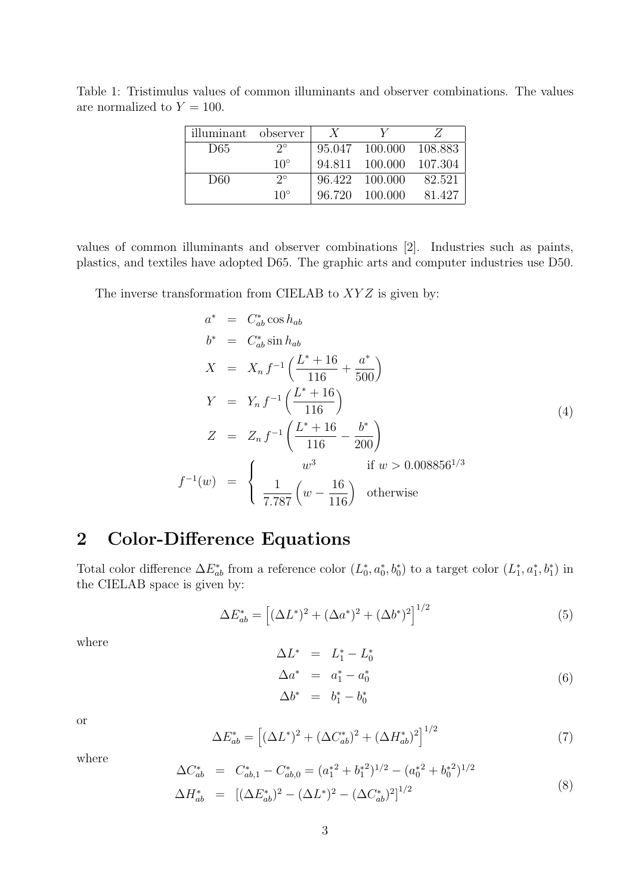| illuminant observer |              | X |                        |         |
|---------------------|--------------|---|------------------------|---------|
| D65                 | $2^{\circ}$  |   | 95.047 100.000 108.883 |         |
|                     | $10^{\circ}$ |   | 94.811 100.000         | 107.304 |
| D60                 | $2^{\circ}$  |   | 96.422 100.000         | 82.521  |
|                     | $10^{\circ}$ |   | 96.720 100.000         | 81.427  |

Table 1: Tristimulus values of common illuminants and observer combinations. The values are normalized to  $Y = 100$ .

values of common illuminants and observer combinations [2]. Industries such as paints, plastics, and textiles have adopted D65. The graphic arts and computer industries use D50.

The inverse transformation from CIELAB to  $XYZ$  is given by:

$$
a^* = C_{ab}^* \cos h_{ab}
$$
  
\n
$$
b^* = C_{ab}^* \sin h_{ab}
$$
  
\n
$$
X = X_n f^{-1} \left( \frac{L^* + 16}{116} + \frac{a^*}{500} \right)
$$
  
\n
$$
Y = Y_n f^{-1} \left( \frac{L^* + 16}{116} \right)
$$
  
\n
$$
Z = Z_n f^{-1} \left( \frac{L^* + 16}{116} - \frac{b^*}{200} \right)
$$
  
\n
$$
f^{-1}(w) = \begin{cases} w^3 & \text{if } w > 0.008856^{1/3} \\ \frac{1}{7.787} \left( w - \frac{16}{116} \right) & \text{otherwise} \end{cases}
$$
\n(4)

# 2 Color-Difference Equations

Total color difference  $\Delta E_{ab}^*$  from a reference color  $(L_0^*, a_0^*, b_0^*)$  to a target color  $(L_1^*, a_1^*, b_1^*)$  in the CIELAB space is given by:

$$
\Delta E_{ab}^* = \left[ (\Delta L^*)^2 + (\Delta a^*)^2 + (\Delta b^*)^2 \right]^{1/2} \tag{5}
$$

where

$$
\begin{array}{rcl}\n\Delta L^* & = & L_1^* - L_0^* \\
\Delta a^* & = & a_1^* - a_0^* \\
\Delta b^* & = & b_1^* - b_0^* \\
\end{array} \tag{6}
$$

or

$$
\Delta E_{ab}^* = \left[ (\Delta L^*)^2 + (\Delta C_{ab}^*)^2 + (\Delta H_{ab}^*)^2 \right]^{1/2} \tag{7}
$$

where

$$
\Delta C_{ab}^* = C_{ab,1}^* - C_{ab,0}^* = (a_1^{*2} + b_1^{*2})^{1/2} - (a_0^{*2} + b_0^{*2})^{1/2}
$$
  
\n
$$
\Delta H_{ab}^* = [(\Delta E_{ab}^*)^2 - (\Delta L^*)^2 - (\Delta C_{ab}^*)^2]^{1/2}
$$
\n(8)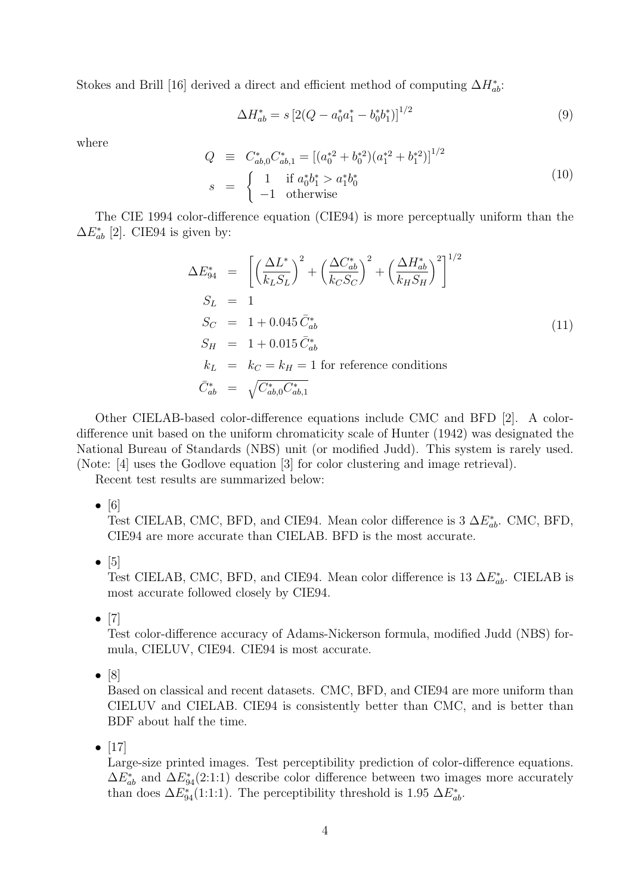Stokes and Brill [16] derived a direct and efficient method of computing  $\Delta H_{ab}^*$ :

$$
\Delta H_{ab}^* = s \left[ 2(Q - a_0^* a_1^* - b_0^* b_1^*) \right]^{1/2} \tag{9}
$$

where

$$
Q \equiv C_{ab,0}^* C_{ab,1}^* = \left[ (a_0^{*2} + b_0^{*2}) (a_1^{*2} + b_1^{*2}) \right]^{1/2}
$$
  
\n
$$
s = \begin{cases} 1 & \text{if } a_0^* b_1^* > a_1^* b_0^* \\ -1 & \text{otherwise} \end{cases}
$$
 (10)

The CIE 1994 color-difference equation (CIE94) is more perceptually uniform than the  $\Delta E_{ab}^*$  [2]. CIE94 is given by:

$$
\Delta E_{94}^* = \left[ \left( \frac{\Delta L^*}{k_L S_L} \right)^2 + \left( \frac{\Delta C_{ab}^*}{k_C S_C} \right)^2 + \left( \frac{\Delta H_{ab}^*}{k_H S_H} \right)^2 \right]^{1/2}
$$
  
\n
$$
S_L = 1
$$
  
\n
$$
S_C = 1 + 0.045 \bar{C}_{ab}^*
$$
  
\n
$$
S_H = 1 + 0.015 \bar{C}_{ab}^*
$$
  
\n
$$
k_L = k_C = k_H = 1 \text{ for reference conditions}
$$
  
\n
$$
\bar{C}_{ab}^* = \sqrt{C_{ab,0}^* C_{ab,1}^*}
$$
\n(11)

Other CIELAB-based color-difference equations include CMC and BFD [2]. A colordifference unit based on the uniform chromaticity scale of Hunter (1942) was designated the National Bureau of Standards (NBS) unit (or modified Judd). This system is rarely used. (Note: [4] uses the Godlove equation [3] for color clustering and image retrieval).

Recent test results are summarized below:

 $\bullet$  [6]

Test CIELAB, CMC, BFD, and CIE94. Mean color difference is  $3 \Delta E_{ab}^*$ . CMC, BFD, CIE94 are more accurate than CIELAB. BFD is the most accurate.

 $\bullet$  [5]

Test CIELAB, CMC, BFD, and CIE94. Mean color difference is 13  $\Delta E_{ab}^*$ . CIELAB is most accurate followed closely by CIE94.

 $\bullet$  [7]

Test color-difference accuracy of Adams-Nickerson formula, modified Judd (NBS) formula, CIELUV, CIE94. CIE94 is most accurate.

 $\bullet$  [8]

Based on classical and recent datasets. CMC, BFD, and CIE94 are more uniform than CIELUV and CIELAB. CIE94 is consistently better than CMC, and is better than BDF about half the time.

•  $[17]$ 

Large-size printed images. Test perceptibility prediction of color-difference equations.  $\Delta E_{ab}^*$  and  $\Delta E_{94}^*(2:1:1)$  describe color difference between two images more accurately than does  $\Delta E_{94}^*(1:1:1)$ . The perceptibility threshold is 1.95  $\Delta E_{ab}^*$ .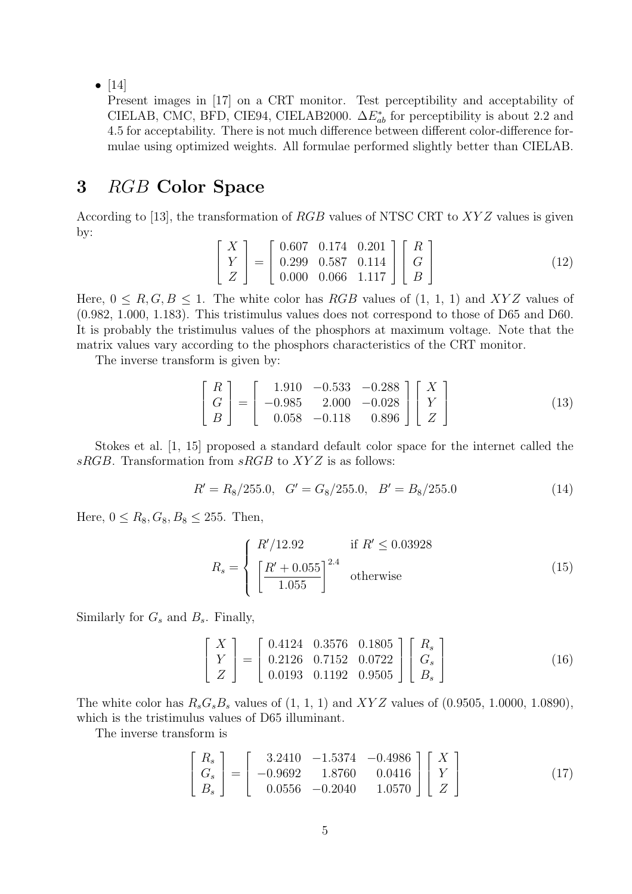•  $[14]$ 

Present images in [17] on a CRT monitor. Test perceptibility and acceptability of CIELAB, CMC, BFD, CIE94, CIELAB2000.  $\Delta E_{ab}^*$  for perceptibility is about 2.2 and 4.5 for acceptability. There is not much difference between different color-difference formulae using optimized weights. All formulae performed slightly better than CIELAB.

### 3 RGB Color Space

According to [13], the transformation of  $RGB$  values of NTSC CRT to  $XYZ$  values is given by:

$$
\begin{bmatrix} X \ Y \ Z \end{bmatrix} = \begin{bmatrix} 0.607 & 0.174 & 0.201 \\ 0.299 & 0.587 & 0.114 \\ 0.000 & 0.066 & 1.117 \end{bmatrix} \begin{bmatrix} R \\ G \\ B \end{bmatrix}
$$
 (12)

Here,  $0 \leq R, G, B \leq 1$ . The white color has RGB values of  $(1, 1, 1)$  and XYZ values of (0.982, 1.000, 1.183). This tristimulus values does not correspond to those of D65 and D60. It is probably the tristimulus values of the phosphors at maximum voltage. Note that the matrix values vary according to the phosphors characteristics of the CRT monitor.

The inverse transform is given by:

$$
\begin{bmatrix} R \\ G \\ B \end{bmatrix} = \begin{bmatrix} 1.910 & -0.533 & -0.288 \\ -0.985 & 2.000 & -0.028 \\ 0.058 & -0.118 & 0.896 \end{bmatrix} \begin{bmatrix} X \\ Y \\ Z \end{bmatrix}
$$
(13)

Stokes et al. [1, 15] proposed a standard default color space for the internet called the sRGB. Transformation from  $sRGB$  to  $XYZ$  is as follows:

$$
R' = R_8/255.0, \quad G' = G_8/255.0, \quad B' = B_8/255.0 \tag{14}
$$

Here,  $0 \le R_8, G_8, B_8 \le 255$ . Then,

$$
R_s = \begin{cases} R'/12.92 & \text{if } R' \le 0.03928\\ \left[\frac{R'+0.055}{1.055}\right]^{2.4} & \text{otherwise} \end{cases}
$$
 (15)

Similarly for  $G_s$  and  $B_s$ . Finally,

$$
\begin{bmatrix} X \ Y \ Z \end{bmatrix} = \begin{bmatrix} 0.4124 & 0.3576 & 0.1805 \\ 0.2126 & 0.7152 & 0.0722 \\ 0.0193 & 0.1192 & 0.9505 \end{bmatrix} \begin{bmatrix} R_s \\ G_s \\ B_s \end{bmatrix}
$$
 (16)

The white color has  $R_sG_sB_s$  values of  $(1, 1, 1)$  and  $XYZ$  values of  $(0.9505, 1.0000, 1.0890)$ , which is the tristimulus values of D65 illuminant.

The inverse transform is

$$
\begin{bmatrix}\nR_s \\
G_s \\
B_s\n\end{bmatrix} = \begin{bmatrix}\n3.2410 & -1.5374 & -0.4986 \\
-0.9692 & 1.8760 & 0.0416 \\
0.0556 & -0.2040 & 1.0570\n\end{bmatrix} \begin{bmatrix}\nX \\
Y \\
Z\n\end{bmatrix}
$$
\n(17)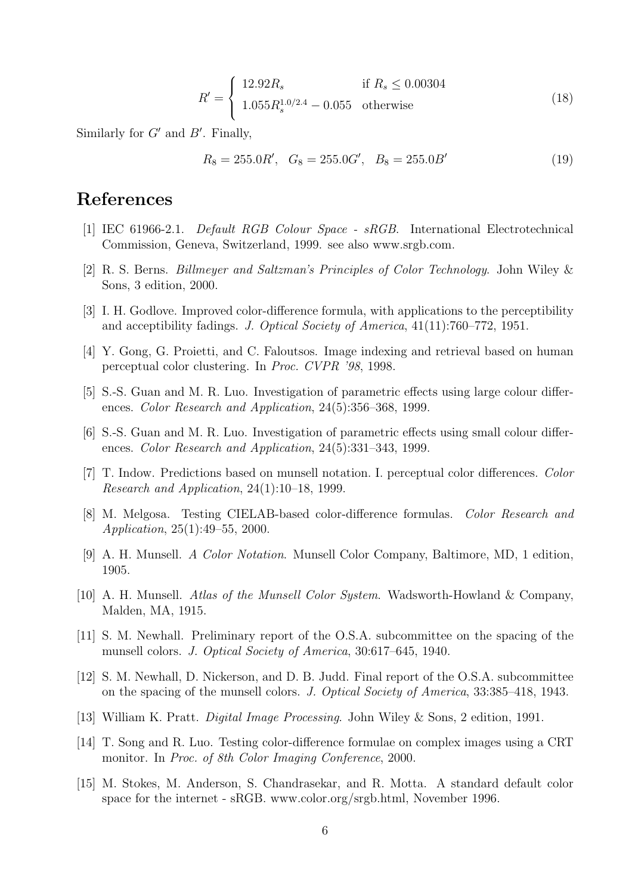$$
R' = \begin{cases} 12.92R_s & \text{if } R_s \le 0.00304\\ 1.055R_s^{1.0/2.4} - 0.055 & \text{otherwise} \end{cases}
$$
(18)

Similarly for  $G'$  and  $B'$ . Finally,

$$
R_8 = 255.0R', G_8 = 255.0G', B_8 = 255.0B'
$$
\n(19)

# References

- [1] IEC 61966-2.1. Default RGB Colour Space sRGB. International Electrotechnical Commission, Geneva, Switzerland, 1999. see also www.srgb.com.
- [2] R. S. Berns. Billmeyer and Saltzman's Principles of Color Technology. John Wiley & Sons, 3 edition, 2000.
- [3] I. H. Godlove. Improved color-difference formula, with applications to the perceptibility and acceptibility fadings. J. Optical Society of America, 41(11):760–772, 1951.
- [4] Y. Gong, G. Proietti, and C. Faloutsos. Image indexing and retrieval based on human perceptual color clustering. In Proc. CVPR '98, 1998.
- [5] S.-S. Guan and M. R. Luo. Investigation of parametric effects using large colour differences. Color Research and Application, 24(5):356–368, 1999.
- [6] S.-S. Guan and M. R. Luo. Investigation of parametric effects using small colour differences. Color Research and Application, 24(5):331–343, 1999.
- [7] T. Indow. Predictions based on munsell notation. I. perceptual color differences. Color Research and Application, 24(1):10–18, 1999.
- [8] M. Melgosa. Testing CIELAB-based color-difference formulas. Color Research and Application, 25(1):49–55, 2000.
- [9] A. H. Munsell. A Color Notation. Munsell Color Company, Baltimore, MD, 1 edition, 1905.
- [10] A. H. Munsell. Atlas of the Munsell Color System. Wadsworth-Howland & Company, Malden, MA, 1915.
- [11] S. M. Newhall. Preliminary report of the O.S.A. subcommittee on the spacing of the munsell colors. J. Optical Society of America, 30:617–645, 1940.
- [12] S. M. Newhall, D. Nickerson, and D. B. Judd. Final report of the O.S.A. subcommittee on the spacing of the munsell colors. J. Optical Society of America, 33:385–418, 1943.
- [13] William K. Pratt. Digital Image Processing. John Wiley & Sons, 2 edition, 1991.
- [14] T. Song and R. Luo. Testing color-difference formulae on complex images using a CRT monitor. In Proc. of 8th Color Imaging Conference, 2000.
- [15] M. Stokes, M. Anderson, S. Chandrasekar, and R. Motta. A standard default color space for the internet - sRGB. www.color.org/srgb.html, November 1996.